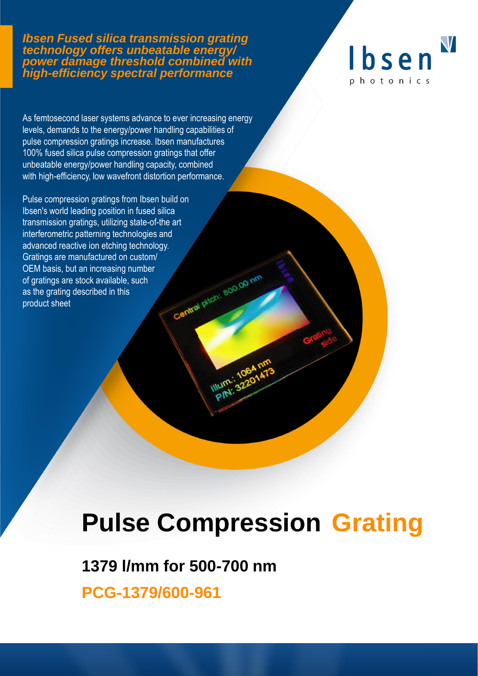#### *Ibsen Fused silica transmission grating technology offers unbeatable energy/ power damage threshold combined with high-efficiency spectral performance*



As femtosecond laser systems advance to ever increasing energy levels, demands to the energy/power handling capabilities of pulse compression gratings increase. Ibsen manufactures 100% fused silica pulse compression gratings that offer unbeatable energy/power handling capacity, combined with high-efficiency, low wavefront distortion performance.

Pulse compression gratings from Ibsen build on Ibsen's world leading position in fused silica transmission gratings, utilizing state-of-the art interferometric patterning technologies and advanced reactive ion etching technology. Gratings are manufactured on custom/ Central pitch: 800.00 nm OEM basis, but an increasing number of gratings are stock available, such as the grating described in this product sheet

# **Pulse Compression Grating**

## **1379 l/mm for 500-700 nm**

**PCG-1379/600-961**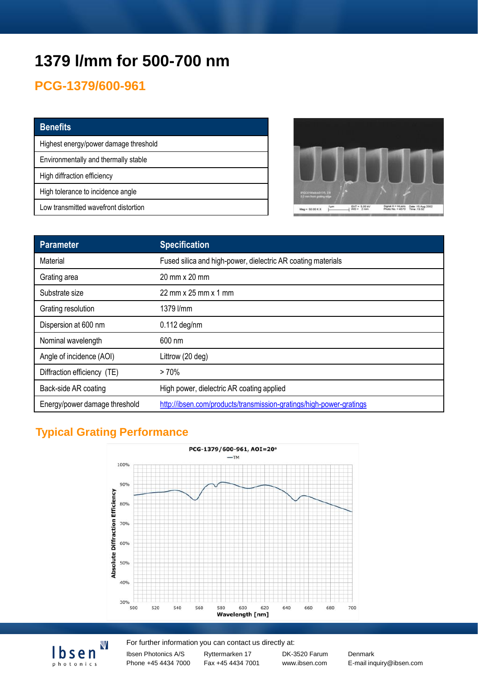# **1379 l/mm for 500-700 nm**

## **PCG-1379/600-961**

| <b>Benefits</b>                       |
|---------------------------------------|
| Highest energy/power damage threshold |
| Environmentally and thermally stable  |
| High diffraction efficiency           |
| High tolerance to incidence angle     |
| Low transmitted wavefront distortion  |



| Parameter                     | <b>Specification</b>                                                |
|-------------------------------|---------------------------------------------------------------------|
| Material                      | Fused silica and high-power, dielectric AR coating materials        |
| Grating area                  | 20 mm x 20 mm                                                       |
| Substrate size                | 22 mm x 25 mm x 1 mm                                                |
| Grating resolution            | 1379 l/mm                                                           |
| Dispersion at 600 nm          | $0.112$ deg/nm                                                      |
| Nominal wavelength            | 600 nm                                                              |
| Angle of incidence (AOI)      | Littrow (20 deg)                                                    |
| Diffraction efficiency (TE)   | $>70\%$                                                             |
| Back-side AR coating          | High power, dielectric AR coating applied                           |
| Energy/power damage threshold | http://ibsen.com/products/transmission-gratings/high-power-gratings |

## **Typical Grating Performance**

 ${\sf V}$ 

<u>Ibsen</u> photonics



#### For further information you can contact us directly at:

Ibsen Photonics A/S Phone +45 4434 7000 Ryttermarken 17 Fax +45 4434 7001 DK-3520 Farum Denmark

www.ibsen.com E-mail inquiry@ibsen.com